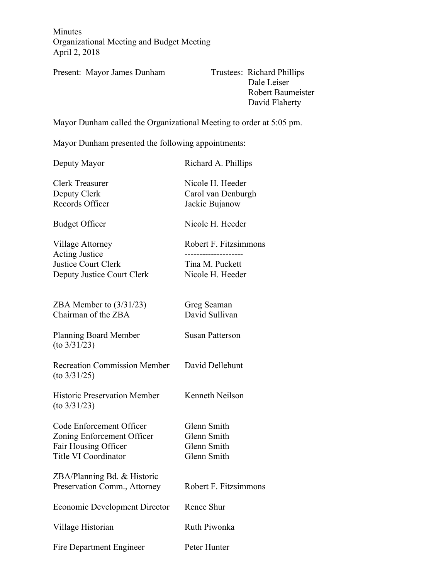Minutes Organizational Meeting and Budget Meeting April 2, 2018

Present: Mayor James Dunham Trustees: Richard Phillips

 Dale Leiser Robert Baumeister David Flaherty

Mayor Dunham called the Organizational Meeting to order at 5:05 pm.

Mayor Dunham presented the following appointments:

Deputy Mayor Richard A. Phillips Clerk Treasurer Nicole H. Heeder Deputy Clerk Carol van Denburgh Records Officer Jackie Bujanow Budget Officer Nicole H. Heeder Village Attorney Robert F. Fitzsimmons Acting Justice -------------------- Justice Court Clerk Tina M. Puckett Deputy Justice Court Clerk Nicole H. Heeder ZBA Member to  $(3/31/23)$  Greg Seaman Chairman of the ZBA David Sullivan Planning Board Member Susan Patterson (to 3/31/23) Recreation Commission Member David Dellehunt (to 3/31/25) Historic Preservation Member Kenneth Neilson (to 3/31/23) Code Enforcement Officer Glenn Smith Zoning Enforcement Officer Glenn Smith Fair Housing Officer Glenn Smith Title VI Coordinator Glenn Smith ZBA/Planning Bd. & Historic Preservation Comm., Attorney Robert F. Fitzsimmons Economic Development Director Renee Shur Village Historian Ruth Piwonka Fire Department Engineer Peter Hunter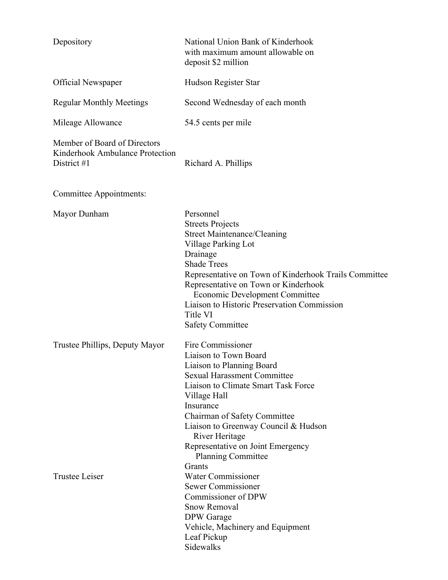| Depository                                                                     | National Union Bank of Kinderhook<br>with maximum amount allowable on<br>deposit \$2 million                                                                                                                                                                                                                                                                 |
|--------------------------------------------------------------------------------|--------------------------------------------------------------------------------------------------------------------------------------------------------------------------------------------------------------------------------------------------------------------------------------------------------------------------------------------------------------|
| <b>Official Newspaper</b>                                                      | Hudson Register Star                                                                                                                                                                                                                                                                                                                                         |
| <b>Regular Monthly Meetings</b>                                                | Second Wednesday of each month                                                                                                                                                                                                                                                                                                                               |
| Mileage Allowance                                                              | 54.5 cents per mile                                                                                                                                                                                                                                                                                                                                          |
| Member of Board of Directors<br>Kinderhook Ambulance Protection<br>District #1 | Richard A. Phillips                                                                                                                                                                                                                                                                                                                                          |
| Committee Appointments:                                                        |                                                                                                                                                                                                                                                                                                                                                              |
| Mayor Dunham                                                                   | Personnel<br><b>Streets Projects</b><br><b>Street Maintenance/Cleaning</b><br>Village Parking Lot<br>Drainage<br><b>Shade Trees</b><br>Representative on Town of Kinderhook Trails Committee<br>Representative on Town or Kinderhook<br>Economic Development Committee<br>Liaison to Historic Preservation Commission<br>Title VI<br><b>Safety Committee</b> |
| Trustee Phillips, Deputy Mayor                                                 | Fire Commissioner<br>Liaison to Town Board<br>Liaison to Planning Board<br><b>Sexual Harassment Committee</b><br>Liaison to Climate Smart Task Force<br>Village Hall<br>Insurance<br>Chairman of Safety Committee<br>Liaison to Greenway Council & Hudson<br>River Heritage<br>Representative on Joint Emergency<br><b>Planning Committee</b>                |
| <b>Trustee Leiser</b>                                                          | Grants<br><b>Water Commissioner</b><br>Sewer Commissioner<br>Commissioner of DPW<br><b>Snow Removal</b><br>DPW Garage<br>Vehicle, Machinery and Equipment<br>Leaf Pickup<br>Sidewalks                                                                                                                                                                        |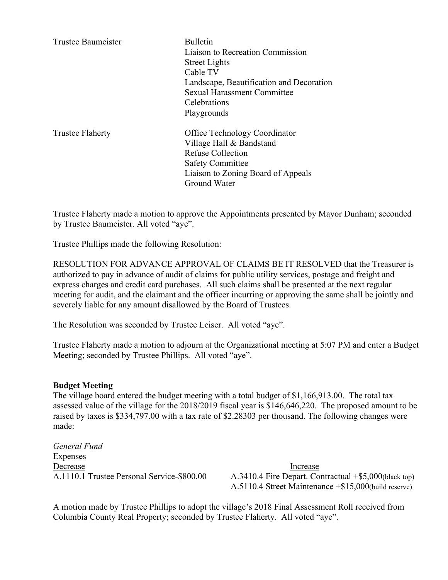| <b>Trustee Baumeister</b> | <b>Bulletin</b><br>Liaison to Recreation Commission<br><b>Street Lights</b><br>Cable TV<br>Landscape, Beautification and Decoration<br><b>Sexual Harassment Committee</b><br>Celebrations<br>Playgrounds |
|---------------------------|----------------------------------------------------------------------------------------------------------------------------------------------------------------------------------------------------------|
| <b>Trustee Flaherty</b>   | Office Technology Coordinator<br>Village Hall & Bandstand<br><b>Refuse Collection</b><br><b>Safety Committee</b><br>Liaison to Zoning Board of Appeals<br>Ground Water                                   |

Trustee Flaherty made a motion to approve the Appointments presented by Mayor Dunham; seconded by Trustee Baumeister. All voted "aye".

Trustee Phillips made the following Resolution:

RESOLUTION FOR ADVANCE APPROVAL OF CLAIMS BE IT RESOLVED that the Treasurer is authorized to pay in advance of audit of claims for public utility services, postage and freight and express charges and credit card purchases. All such claims shall be presented at the next regular meeting for audit, and the claimant and the officer incurring or approving the same shall be jointly and severely liable for any amount disallowed by the Board of Trustees.

The Resolution was seconded by Trustee Leiser. All voted "aye".

Trustee Flaherty made a motion to adjourn at the Organizational meeting at 5:07 PM and enter a Budget Meeting; seconded by Trustee Phillips. All voted "aye".

## **Budget Meeting**

The village board entered the budget meeting with a total budget of \$1,166,913.00. The total tax assessed value of the village for the 2018/2019 fiscal year is \$146,646,220. The proposed amount to be raised by taxes is \$334,797.00 with a tax rate of \$2.28303 per thousand. The following changes were made:

*General Fund* Expenses Decrease Increase

A.1110.1 Trustee Personal Service-\$800.00 A.3410.4 Fire Depart. Contractual +\$5,000(black top) A.5110.4 Street Maintenance +\$15,000(build reserve)

A motion made by Trustee Phillips to adopt the village's 2018 Final Assessment Roll received from Columbia County Real Property; seconded by Trustee Flaherty. All voted "aye".